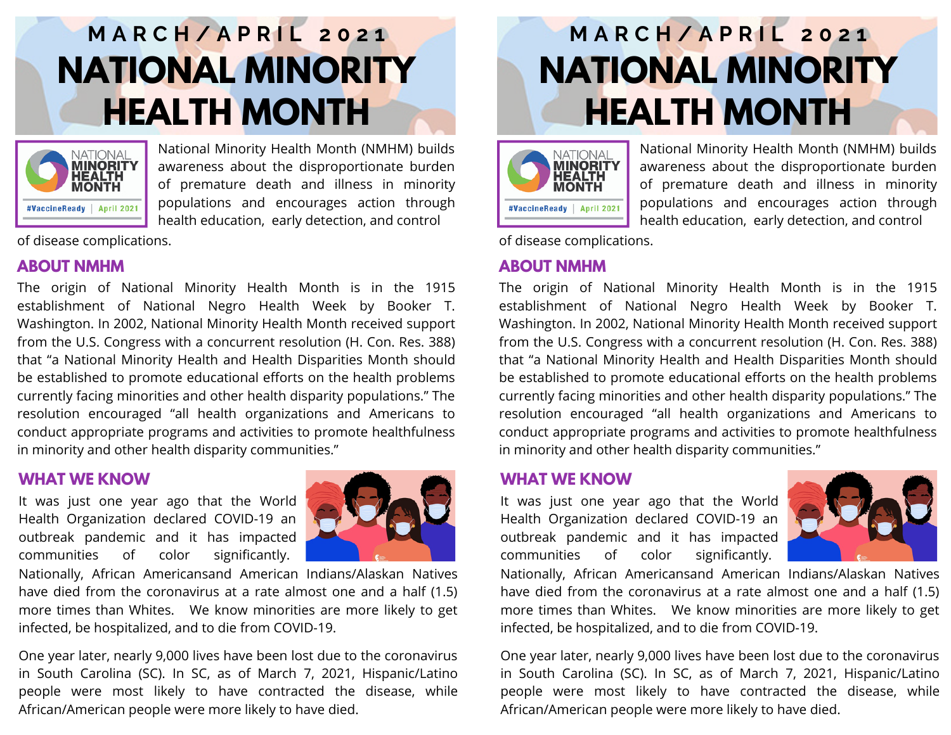# **M A R C H / A P R I L 2 0 2 1 NATIONAL MINORITY HEALTH MONTH**



National Minority Health Month (NMHM) builds awareness about the disproportionate burden of premature death and illness in minority populations and encourages action through health education, early detection, and control

of disease complications.

# **ABOUT NMHM**

The origin of National Minority Health Month is in the 1915 establishment of National Negro Health Week by Booker T. Washington. In 2002, National Minority Health Month received support from the U.S. Congress with a concurrent resolution (H. Con. Res. 388) that "a National Minority Health and Health Disparities Month should be established to promote educational efforts on the health problems currently facing minorities and other health disparity populations." The resolution encouraged "all health organizations and Americans to conduct appropriate programs and activities to promote healthfulness in minority and other health disparity communities."

#### South Carolina & **WHAT WE KNOW**

It was just one year ago that the World Health Organization declared COVID-19 an outbreak pandemic and it has impacted communities of color significantly.



Nationally, African Americansand American Indians/Alaskan Natives have died from the coronavirus at a rate almost one and a half (1.5) more times than Whites. We know minorities are more likely to get infected, be hospitalized, and to die from COVID-19.

One year later, nearly 9,000 lives have been lost due to the coronavirus in South Carolina (SC). In SC, as of March 7, 2021, Hispanic/Latino people were most likely to have contracted the disease, while African/American people were more likely to have died.

# **M A R C H / A P R I L 2 0 2 1 NATIONAL MINORITY HEALTH MONTH**



National Minority Health Month (NMHM) builds awareness about the disproportionate burden of premature death and illness in minority populations and encourages action through health education, early detection, and control

of disease complications.

### **ABOUT NMHM**

The origin of National Minority Health Month is in the 1915 establishment of National Negro Health Week by Booker T. Washington. In 2002, National Minority Health Month received support from the U.S. Congress with a concurrent resolution (H. Con. Res. 388) that "a National Minority Health and Health Disparities Month should be established to promote educational efforts on the health problems currently facing minorities and other health disparity populations." The resolution encouraged "all health organizations and Americans to conduct appropriate programs and activities to promote healthfulness in minority and other health disparity communities."

#### South Carolina & **WHAT WE KNOW**

It was just one year ago that the World Health Organization declared COVID-19 an outbreak pandemic and it has impacted communities of color significantly.



Nationally, African Americansand American Indians/Alaskan Natives have died from the coronavirus at a rate almost one and a half (1.5) more times than Whites. We know minorities are more likely to get infected, be hospitalized, and to die from COVID-19.

One year later, nearly 9,000 lives have been lost due to the coronavirus in South Carolina (SC). In SC, as of March 7, 2021, Hispanic/Latino people were most likely to have contracted the disease, while African/American people were more likely to have died.